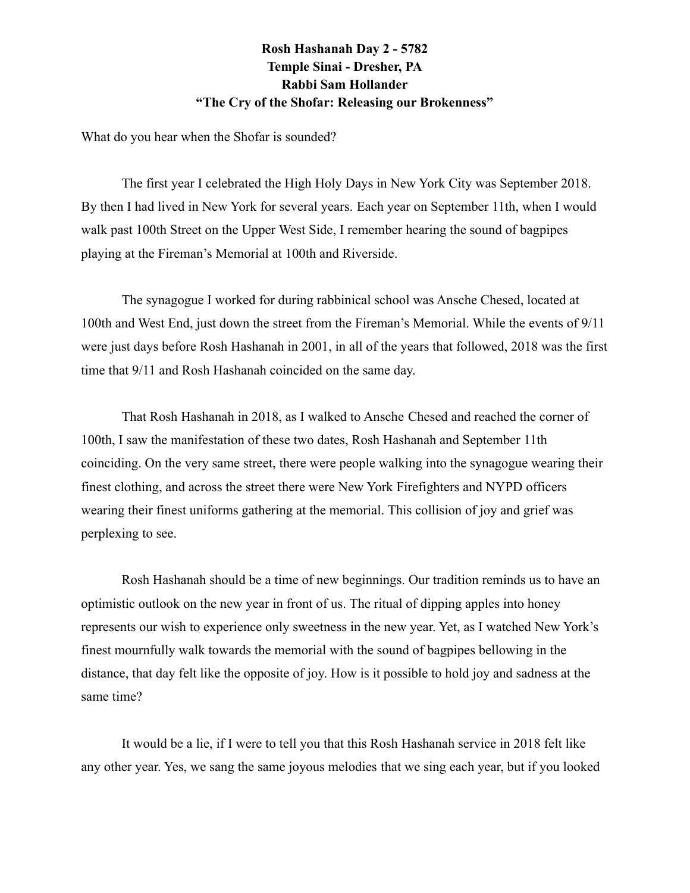## **Rosh Hashanah Day 2 - 5782 Temple Sinai - Dresher, PA Rabbi Sam Hollander "The Cry of the Shofar: Releasing our Brokenness"**

What do you hear when the Shofar is sounded?

The first year I celebrated the High Holy Days in New York City was September 2018. By then I had lived in New York for several years. Each year on September 11th, when I would walk past 100th Street on the Upper West Side, I remember hearing the sound of bagpipes playing at the Fireman's Memorial at 100th and Riverside.

The synagogue I worked for during rabbinical school was Ansche Chesed, located at 100th and West End, just down the street from the Fireman's Memorial. While the events of 9/11 were just days before Rosh Hashanah in 2001, in all of the years that followed, 2018 was the first time that 9/11 and Rosh Hashanah coincided on the same day.

That Rosh Hashanah in 2018, as I walked to Ansche Chesed and reached the corner of 100th, I saw the manifestation of these two dates, Rosh Hashanah and September 11th coinciding. On the very same street, there were people walking into the synagogue wearing their finest clothing, and across the street there were New York Firefighters and NYPD officers wearing their finest uniforms gathering at the memorial. This collision of joy and grief was perplexing to see.

Rosh Hashanah should be a time of new beginnings. Our tradition reminds us to have an optimistic outlook on the new year in front of us. The ritual of dipping apples into honey represents our wish to experience only sweetness in the new year. Yet, as I watched New York's finest mournfully walk towards the memorial with the sound of bagpipes bellowing in the distance, that day felt like the opposite of joy. How is it possible to hold joy and sadness at the same time?

It would be a lie, if I were to tell you that this Rosh Hashanah service in 2018 felt like any other year. Yes, we sang the same joyous melodies that we sing each year, but if you looked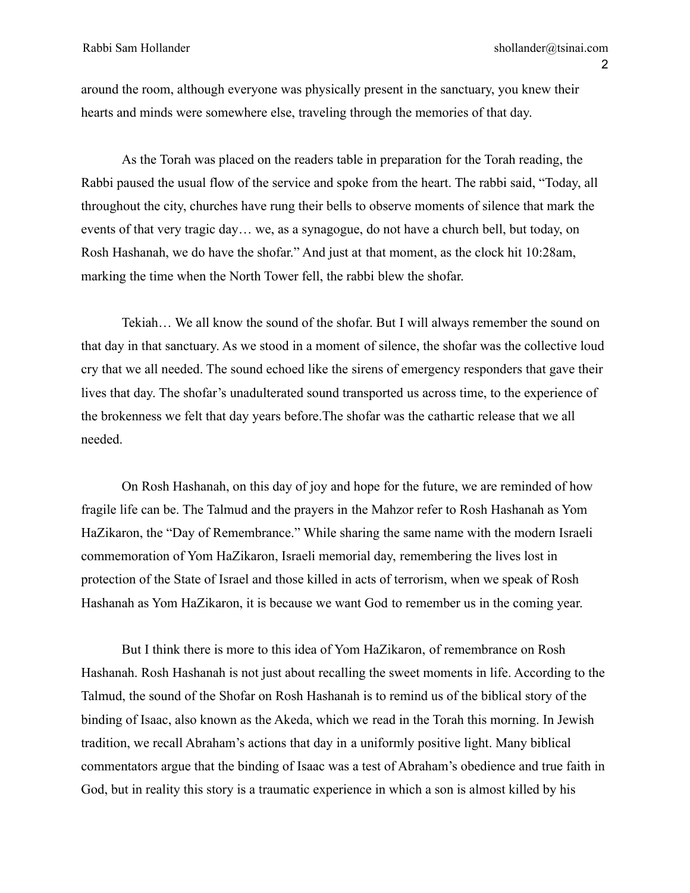around the room, although everyone was physically present in the sanctuary, you knew their hearts and minds were somewhere else, traveling through the memories of that day.

As the Torah was placed on the readers table in preparation for the Torah reading, the Rabbi paused the usual flow of the service and spoke from the heart. The rabbi said, "Today, all throughout the city, churches have rung their bells to observe moments of silence that mark the events of that very tragic day… we, as a synagogue, do not have a church bell, but today, on Rosh Hashanah, we do have the shofar." And just at that moment, as the clock hit 10:28am, marking the time when the North Tower fell, the rabbi blew the shofar.

Tekiah… We all know the sound of the shofar. But I will always remember the sound on that day in that sanctuary. As we stood in a moment of silence, the shofar was the collective loud cry that we all needed. The sound echoed like the sirens of emergency responders that gave their lives that day. The shofar's unadulterated sound transported us across time, to the experience of the brokenness we felt that day years before.The shofar was the cathartic release that we all needed.

On Rosh Hashanah, on this day of joy and hope for the future, we are reminded of how fragile life can be. The Talmud and the prayers in the Mahzor refer to Rosh Hashanah as Yom HaZikaron, the "Day of Remembrance." While sharing the same name with the modern Israeli commemoration of Yom HaZikaron, Israeli memorial day, remembering the lives lost in protection of the State of Israel and those killed in acts of terrorism, when we speak of Rosh Hashanah as Yom HaZikaron, it is because we want God to remember us in the coming year.

But I think there is more to this idea of Yom HaZikaron, of remembrance on Rosh Hashanah. Rosh Hashanah is not just about recalling the sweet moments in life. According to the Talmud, the sound of the Shofar on Rosh Hashanah is to remind us of the biblical story of the binding of Isaac, also known as the Akeda, which we read in the Torah this morning. In Jewish tradition, we recall Abraham's actions that day in a uniformly positive light. Many biblical commentators argue that the binding of Isaac was a test of Abraham's obedience and true faith in God, but in reality this story is a traumatic experience in which a son is almost killed by his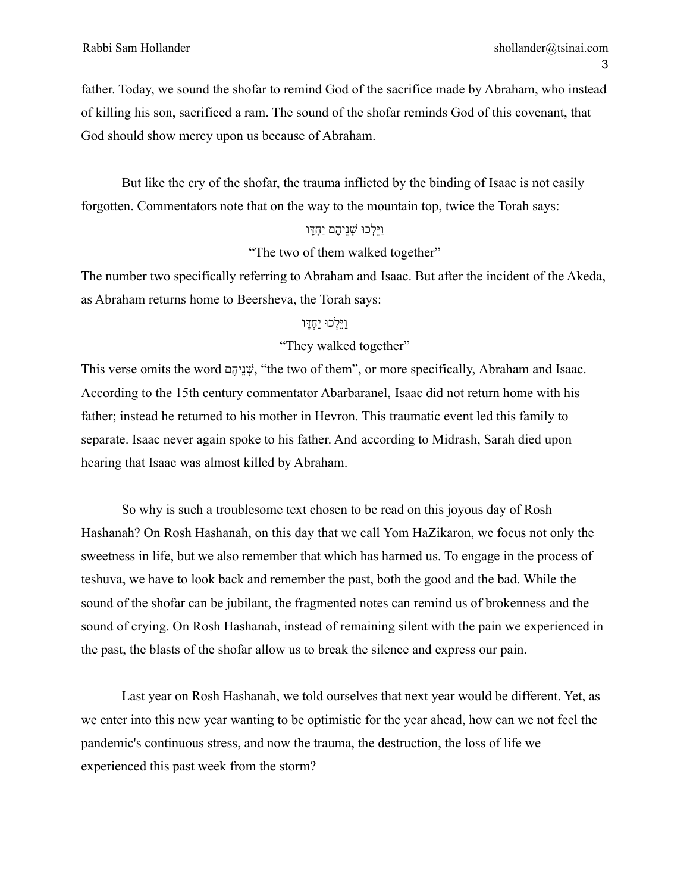father. Today, we sound the shofar to remind God of the sacrifice made by Abraham, who instead of killing his son, sacrificed a ram. The sound of the shofar reminds God of this covenant, that God should show mercy upon us because of Abraham.

But like the cry of the shofar, the trauma inflicted by the binding of Isaac is not easily forgotten. Commentators note that on the way to the mountain top, twice the Torah says:

## ַוּיֵ ְלכּו ְׁשנֵ ֶ יהם יַ ְחָּדו

"The two of them walked together"

The number two specifically referring to Abraham and Isaac. But after the incident of the Akeda, as Abraham returns home to Beersheva, the Torah says:

## ַוֵּי ְלכּו יַ ְחָּדו

## "They walked together"

This verse omits the word יָשְׁנֵיהֵם, "the two of them", or more specifically, Abraham and Isaac. According to the 15th century commentator Abarbaranel, Isaac did not return home with his father; instead he returned to his mother in Hevron. This traumatic event led this family to separate. Isaac never again spoke to his father. And according to Midrash, Sarah died upon hearing that Isaac was almost killed by Abraham.

So why is such a troublesome text chosen to be read on this joyous day of Rosh Hashanah? On Rosh Hashanah, on this day that we call Yom HaZikaron, we focus not only the sweetness in life, but we also remember that which has harmed us. To engage in the process of teshuva, we have to look back and remember the past, both the good and the bad. While the sound of the shofar can be jubilant, the fragmented notes can remind us of brokenness and the sound of crying. On Rosh Hashanah, instead of remaining silent with the pain we experienced in the past, the blasts of the shofar allow us to break the silence and express our pain.

Last year on Rosh Hashanah, we told ourselves that next year would be different. Yet, as we enter into this new year wanting to be optimistic for the year ahead, how can we not feel the pandemic's continuous stress, and now the trauma, the destruction, the loss of life we experienced this past week from the storm?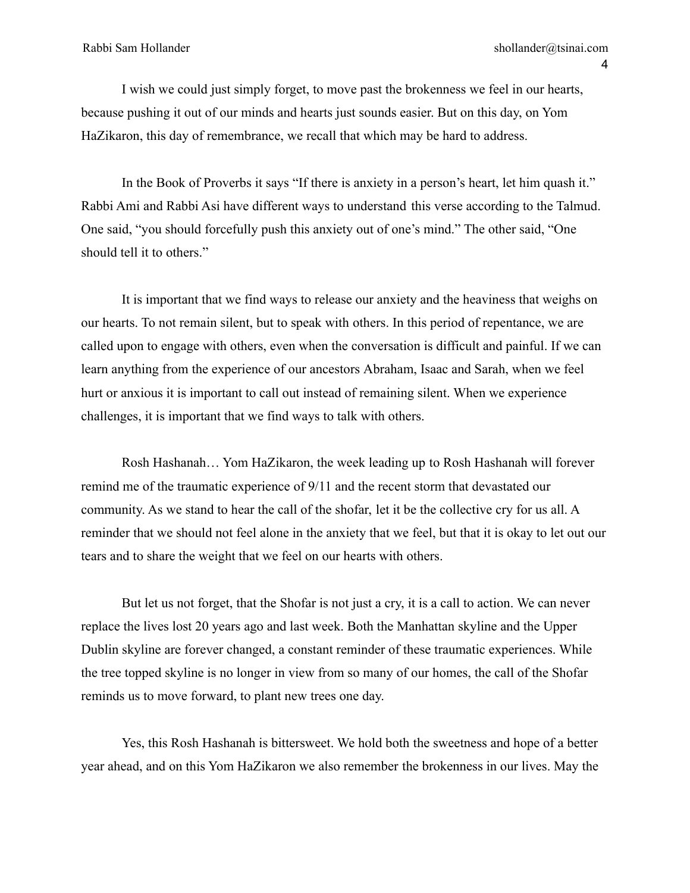I wish we could just simply forget, to move past the brokenness we feel in our hearts, because pushing it out of our minds and hearts just sounds easier. But on this day, on Yom HaZikaron, this day of remembrance, we recall that which may be hard to address.

In the Book of Proverbs it says "If there is anxiety in a person's heart, let him quash it." Rabbi Ami and Rabbi Asi have different ways to understand this verse according to the Talmud. One said, "you should forcefully push this anxiety out of one's mind." The other said, "One should tell it to others."

It is important that we find ways to release our anxiety and the heaviness that weighs on our hearts. To not remain silent, but to speak with others. In this period of repentance, we are called upon to engage with others, even when the conversation is difficult and painful. If we can learn anything from the experience of our ancestors Abraham, Isaac and Sarah, when we feel hurt or anxious it is important to call out instead of remaining silent. When we experience challenges, it is important that we find ways to talk with others.

Rosh Hashanah… Yom HaZikaron, the week leading up to Rosh Hashanah will forever remind me of the traumatic experience of 9/11 and the recent storm that devastated our community. As we stand to hear the call of the shofar, let it be the collective cry for us all. A reminder that we should not feel alone in the anxiety that we feel, but that it is okay to let out our tears and to share the weight that we feel on our hearts with others.

But let us not forget, that the Shofar is not just a cry, it is a call to action. We can never replace the lives lost 20 years ago and last week. Both the Manhattan skyline and the Upper Dublin skyline are forever changed, a constant reminder of these traumatic experiences. While the tree topped skyline is no longer in view from so many of our homes, the call of the Shofar reminds us to move forward, to plant new trees one day.

Yes, this Rosh Hashanah is bittersweet. We hold both the sweetness and hope of a better year ahead, and on this Yom HaZikaron we also remember the brokenness in our lives. May the